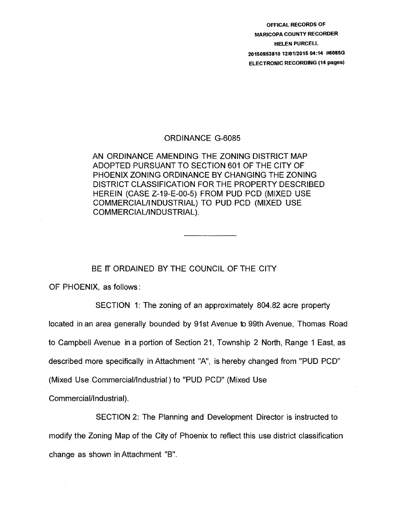OFFICAL RECORDS OF MARICOPA COUNTY RECORDER **HELEN** PURCELL 20150853810 12/01/2015 04:14 #6085G ELECTRONIC RECORDING (14 pages)

# ORDINANCE G-6085

AN ORDINANCE AMENDING THE ZONING DISTRICT MAP ADOPTED PURSUANT TO SECTION 601 OF THE CITY OF PHOENIX ZONING ORDINANCE BY CHANGING THE ZONING DISTRICT CLASSIFICATION FOR THE PROPERTY DESCRIBED HEREIN (CASE Z-19-E-00-5) FROM PUD PCD (MIXED USE COMMERCIAL/INDUSTRIAL) TO PUD PCD (MIXED USE COMMERCIAL/INDUSTRIAL).

# BE **IT ORDAINED BY THE COUNCIL OF THE CITY**

OF PHOENIX, as follows:

SECTION 1: The zoning of an approximately 804.82 acre property located in an area generally bounded by 91st Avenue to 99th Avenue, Thomas Road to Campbell Avenue in a portion of Section 21, Township 2 North, Range 1 East, as

described more specifically in Attachment "A", is hereby changed from "PUD PCD"

(Mixed Use Commercial/Industrial) to "PUD PCD" (Mixed Use

Commercial/Industrial).

SECTION 2: The Planning and Development Director is instructed to modify the Zoning Map of the City of Phoenix to reflect this use district classification change as shown in Attachment "B".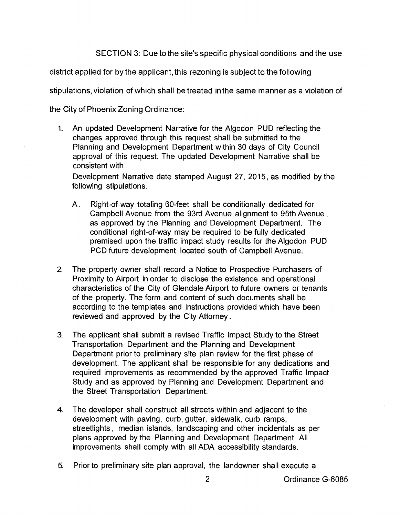SECTION 3: Due to the site's specific physical conditions and the use

district applied for by the applicant, this rezoning is subject to the following

stipulations, violation of which shall be treated in the same manner as a violation of

the City of Phoenix Zoning Ordinance:

1. An updated Development Narrative for the Algodon PUD reflecting the changes approved through this request shall be submitted to the Planning and Development Department within 30 days of City Council approval of this request. The updated Development Narrative shall be consistent with

Development Narrative date stamped August 27, 2015, as modified by the following stipulations.

- A. Right-of-way totaling 60-feet shall be conditionally dedicated for Campbell Avenue from the 93rd Avenue alignment to 95th Avenue, as approved by the Planning and Development Department. The conditional right-of-way may be required to be fully dedicated premised upon the traffic impact study results for the Algodon PUD PCD future development located south of Campbell Avenue.
- 2. The property owner shall record a Notice to Prospective Purchasers of Proximity to Airport in order to disclose the existence and operational characteristics of the City of Glendale Airport to future owners or tenants of the property. The form and content of such documents shall be according to the templates and instructions provided which have been reviewed and approved by the City Attorney .
- 3. The applicant shall submit a revised Traffic Impact Study to the Street Transportation Department and the Planning and Development Department prior to preliminary site plan review for the first phase of development. The applicant shall be responsible for any dedications and required improvements as recommended by the approved Traffic Impact Study and as approved by Planning and Development Department and the Street Transportation Department.
- 4. The developer shall construct all streets within and adjacent to the development with paving, curb, gutter, sidewalk, curb ramps, streetlights, median islands, landscaping and other incidentals as per plans approved by the Planning and Development Department. All improvements shall comply with all ADA accessibility standards.
- 5. Prior to preliminary site plan approval, the landowner shall execute a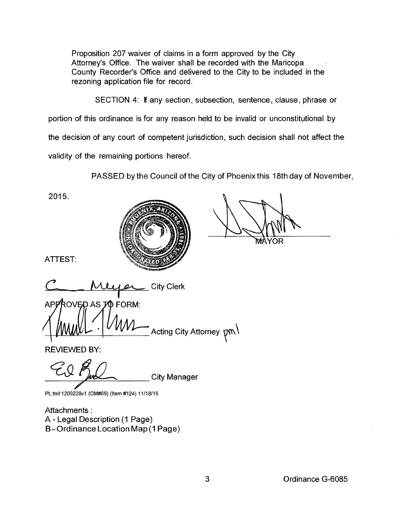Proposition 207 waiver of claims in a form approved by the City Attorney's Office. The waiver shall be recorded with the Maricopa County Recorder's Office and delivered to the City to be included in the rezoning application file for record.

SECTION 4: If any section, subsection, sentence, clause, phrase or portion of this ordinance is for any reason held to be invalid or unconstitutional by the decision of any court of competent jurisdiction, such decision shall not affect the validity of the remaining portions hereof.

PASSED by the Council of the City of Phoenix this 18th day of November,

2015.

ATTEST: \_ City Clerk APPROVED AS TO FORM: Acting City Attorney  $pm$ REVIEWED BY: City Manager

PL:tm1:1209228v1 (CM#69) (Item #124) 11/18115

Attachments : A - Legal Description (1 Page) B-Ordinance Location Map(1 Page)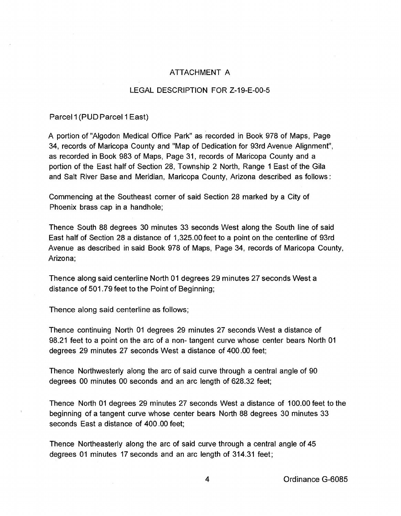## ATTACHMENT A

### LEGAL DESCRIPTION FOR Z-19-E-00-5

#### Parcel 1 (PUD Parcel 1 East)

A portion of "Aigodon Medical Office Park" as recorded in Book 978 of Maps, Page 34, records of Maricopa County and "Map of Dedication for 93rd Avenue Alignment", as recorded in Book 983 of Maps, Page 31, records of Maricopa County and a portion of the East half of Section 28, Township 2 North, Range 1 East of the Gila and Salt River Base and Meridian, Maricopa County, Arizona described as follows:

Commencing at the Southeast corner of said Section 28 marked by a City of Phoenix brass cap in a handhole;

Thence South 88 degrees 30 minutes 33 seconds West along the South line of said East half of Section 28 a distance of 1 ,325.00 feet to a point on the centerline of 93rd Avenue as described in said Book 978 of Maps, Page 34, records of Maricopa County, Arizona;

Thence along said centerline North 01 degrees 29 minutes 27 seconds West a distance of 501.79 feet to the Point of Beginning;

Thence along said centerline as follows;

Thence continuing North 01 degrees 29 minutes 27 seconds West a distance of 98.21 feet to a point on the arc of a non- tangent curve whose center bears North 01 degrees 29 minutes 27 seconds West a distance of 400.00 feet;

Thence Northwesterly along the arc of said curve through a central angle of 90 degrees 00 minutes 00 seconds and an arc length of 628.32 feet;

Thence North 01 degrees 29 minutes 27 seconds West a distance of 100.00 feet to the beginning of a tangent curve whose center bears North 88 degrees 30 minutes 33 seconds East a distance of 400.00 feet;

Thence Northeasterly along the arc of said curve through a central angle of 45 degrees 01 minutes 17 seconds and an arc length of 314.31 feet;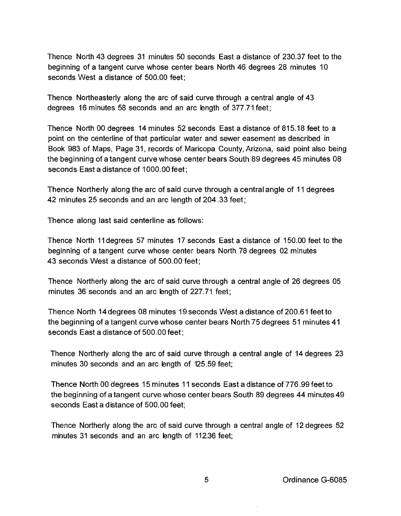Thence North 43 degrees 31 minutes 50 seconds East a distance of 230.37 feet to the beginning of a tangent curve whose center bears North 46 degrees 28 minutes 10 seconds West a distance of 500.00 feet;

Thence Northeasterly along the arc of said curve through a central angle of 43 degrees 16 minutes 58 seconds and an arc length of 377.71 feet;

Thence North 00 degrees 14 minutes 52 seconds East a distance of 815.18 feet to a point on the centerline of that particular water and sewer easement as described in Book 983 of Maps, Page 31, records of Maricopa County, Arizona, said point also being the beginning of a tangent curve whose center bears South 89 degrees 45 minutes 08 seconds East a distance of 1000.00 feet;

Thence Northerly along the arc of said curve through a central angle of 11 degrees 42 minutes 25 seconds and an arc length of204.33 feet;

Thence along last said centerline as follows:

Thence North 11 degrees 57 minutes 17 seconds East a distance of 150.00 feet to the beginning of a tangent curve whose center bears North 78 degrees 02 minutes 43 seconds West a distance of 500.00 feet;

Thence Northerly along the arc of said curve through a central angle of 26 degrees 05 minutes 36 seconds and an arc length of 227.71 feet;

Thence North 14 degrees 08 minutes 19 seconds West a distance of 200.61 feet to the beginning of a tangent curve whose center bears North 75 degrees 51 minutes 41 seconds East a distance of 500.00 feet;

Thence Northerly along the arc of said curve through a central angle of 14 degrees 23 minutes 30 seconds and an arc length of 125 .59 feet;

Thence North 00 degrees 15 minutes 11 seconds East a distance of 776.99 feet to the beginning of a tangent curve whose center bears South 89 degrees 44 minutes 49 seconds East a distance of 500.00 feet;

Thence Northerly along the arc of said curve through a central angle of 12 degrees 52 minutes 31 seconds and an arc length of 112.36 feet;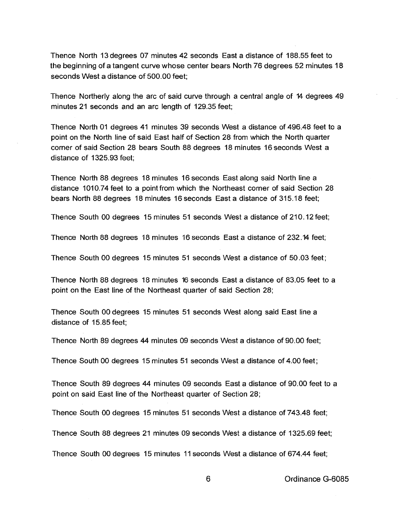Thence North 13 degrees 07 minutes 42 seconds East a distance of 188.55 feet to the beginning of a tangent curve whose center bears North 76 degrees 52 minutes 18 seconds West a distance of 500.00 feet;

Thence Northerly along the arc of said curve through a central angle of 14 degrees 49 minutes 21 seconds and an arc length of 129.35 feet;

Thence North 01 degrees 41 minutes 39 seconds West a distance of 496.48 feet to a point on the North line of said East half of Section 28 from which the North quarter corner of said Section 28 bears South 88 degrees 18 minutes 16 seconds West a distance of 1325.93 feet;

Thence North 88 degrees 18 minutes 16 seconds East along said North line a distance 1010.74 feet to a pointfrom which the Northeast corner of said Section 28 bears North 88 degrees 18 minutes 16 seconds East a distance of 315.18 feet;

Thence South 00 degrees 15 minutes 51 seconds West a distance of 210.12 feet;

Thence North 88 degrees 18 minutes 16 seconds East a distance of 232.14 feet;

Thence South 00 degrees 15 minutes 51 seconds West a distance of 50.03 feet;

Thence North 88 degrees 18 minutes 16 seconds East a distance of 83.05 feet to a point on the East line of the Northeast quarter of said Section 28;

Thence South 00 degrees 15 minutes 51 seconds West along said East line a distance of 15.85 feet;

Thence North 89 degrees 44 minutes 09 seconds West a distance of 90.00 feet;

Thence South 00 degrees 15 minutes 51 seconds West a distance of 4.00 feet;

Thence South 89 degrees 44 minutes 09 seconds East a distance of 90.00 feet to a point on said East line of the Northeast quarter of Section 28;

Thence South 00 degrees 15 minutes 51 seconds West a distance of 743.48 feet;

Thence South 88 degrees 21 minutes 09 seconds West a distance of 1325.69 feet;

Thence South 00 degrees 15 minutes 11 seconds West a distance of 674.44 feet;

6 Ordinance G-6085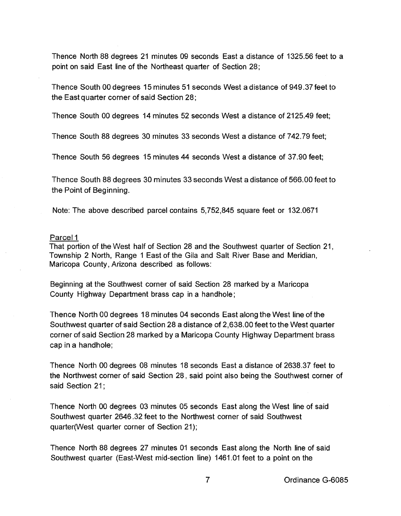Thence North 88 degrees 21 minutes 09 seconds East a distance of 1325.56 feet to a point on said East line of the Northeast quarter of Section 28;

Thence South 00 degrees 15 minutes 51 seconds West a distance of 949.37 feet to the East quarter corner of said Section 28;

Thence South 00 degrees 14 minutes 52 seconds West a distance of 2125.49 feet;

Thence South 88 degrees 30 minutes 33 seconds West a distance of 742.79 feet;

Thence South 56 degrees 15 minutes 44 seconds West a distance of 37.90 feet;

Thence South 88 degrees 30 minutes 33 seconds West a distance of 566.00 feet to the Point of Beginning.

Note: The above described parcel contains 5,752,845 square feet or 132.0671

#### Parcel1

That portion of the West half of Section 28 and the Southwest quarter of Section 21, Township 2 North, Range 1 East of the Gila and Salt River Base and Meridian, Maricopa County, Arizona described as follows:

Beginning at the Southwest corner of said Section 28 marked by a Maricopa County Highway Department brass cap in a handhole;

Thence North 00 degrees 18 minutes 04 seconds East along the West line of the Southwest quarter of said Section 28 a distance of 2,638.00 feet to the West quarter corner of said Section 28 marked by a Maricopa County Highway Department brass cap in a handhole;

Thence North 00 degrees 08 minutes 18 seconds East a distance of 2638.37 feet to the Northwest corner of said Section 28, said point also being the Southwest corner of said Section 21:

Thence North 00 degrees 03 minutes 05 seconds East along the West line of said Southwest quarter 2646.32 feet to the Northwest corner of said Southwest quarter(West quarter corner of Section 21);

Thence North 88 degrees 27 minutes 01 seconds East along the North line of said Southwest quarter (East-West mid-section line) 1461.01 feet to a point on the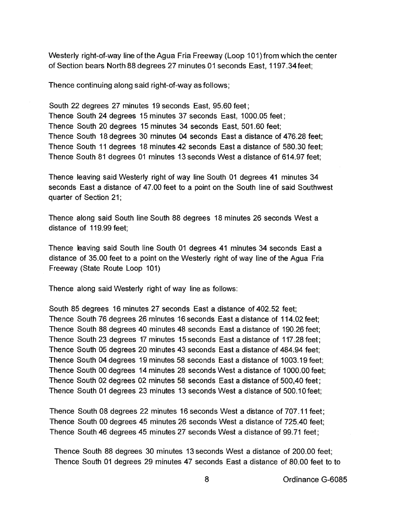Westerly right-of-way line of the Agua Fria Freeway (Loop 101) from which the center of Section bears North 88 degrees 27 minutes 01 seconds East, 1197.34feet;

Thence continuing along said right-of-way as follows;

South 22 degrees 27 minutes 19 seconds East, 95.60 feet; Thence South 24 degrees 15 minutes 37 seconds East, 1000.05 feet; Thence South 20 degrees 15 minutes 34 seconds East, 501.60 feet; Thence South 18 degrees 30 minutes 04 seconds East a distance of 476.28 feet; Thence South 11 degrees 18 minutes 42 seconds East a distance of 580.30 feet; Thence South 81 degrees 01 minutes 13 seconds West a distance of 614.97 feet;

Thence leaving said Westerly right of way line South 01 degrees 41 minutes 34 seconds East a distance of 47.00 feet to a point on the South line of said Southwest quarter of Section 21;

Thence along said South line South 88 degrees 18 minutes 26 seconds West a distance of 119.99 feet;

Thence leaving said South line South 01 degrees 41 minutes 34 seconds East a distance of 35.00 feet to a point on the Westerly right of way line of the Agua Fria Freeway (State Route Loop 101)

Thence along said Westerly right of way line as follows:

South 85 degrees 16 minutes 27 seconds East a distance of 402.52 feet; Thence South 76 degrees 26 minutes 16 seconds East a distance of 114.02 feet; Thence South 88 degrees 40 minutes 48 seconds East a distance of 190.26 feet; Thence South 23 degrees 17 minutes 15 seconds East a distance of 117.28 feet; Thence South 05 degrees 20 minutes 43 seconds East a distance of 484.94 feet; Thence South 04 degrees 19 minutes 58 seconds East a distance of 1003.19 feet; Thence South 00 degrees 14 minutes 28 seconds West a distance of 1000.00 feet; Thence South 02 degrees 02 minutes 58 seconds East a distance of 500,40 feet; Thence South 01 degrees 23 minutes 13 seconds West a distance of 500.10 feet;

Thence South 08 degrees 22 minutes 16 seconds West a distance of 707.11 feet; Thence South 00 degrees 45 minutes 26 seconds West a distance of 725.40 feet; Thence South 46 degrees 45 minutes 27 seconds West a distance of 99.71 feet;

Thence South 88 degrees 30 minutes 13 seconds West a distance of 200.00 feet; Thence South 01 degrees 29 minutes 47 seconds East a distance of 80.00 feet to to

8 Ordinance G-6085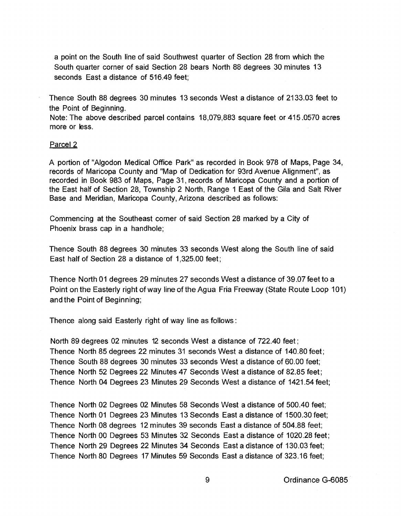a point on the South line of said Southwest quarter of Section 28 from which the South quarter corner of said Section 28 bears North 88 degrees 30 minutes 13 seconds East a distance of 516.49 feet;

Thence South 88 degrees 30 minutes 13 seconds West a distance of 2133.03 feet to the Point of Beginning.

Note: The above described parcel contains 18,079,883 square feet or 415 .0570 acres more or less.

#### Parcel<sub>2</sub>

A portion of "Aigodon Medical Office Park" as recorded in Book 978 of Maps, Page 34, records of Maricopa County and "Map of Dedication for 93rd Avenue Alignment", as recorded in Book 983 of Maps, Page 31, records of Maricopa County and a portion of the East half of Section 28, Township 2 North, Range 1 East of the Gila and Salt River Base and Meridian, Maricopa County, Arizona described as follows:

Commencing at the Southeast corner of said Section 28 marked by a City of Phoenix brass cap in a handhole;

Thence South 88 degrees 30 minutes 33 seconds West along the South line of said East half of Section 28 a distance of 1,325.00 feet;

Thence North 01 degrees 29 minutes 27 seconds West a distance of 39.07 feet to a Point on the Easterly right of way line of the Agua Fria Freeway (State Route Loop 101) and the Point of Beginning;

Thence along said Easterly right of way line as follows:

North 89 degrees 02 minutes 12 seconds West a distance of 722.40 feet; Thence North 85 degrees 22 minutes 31 seconds West a distance of 140.80 feet; Thence South 88 degrees 30 minutes 33 seconds West a distance of 60.00 feet; Thence North 52 Degrees 22 Minutes 47 Seconds West a distance of 82.85 feet; Thence North 04 Degrees 23 Minutes 29 Seconds West a distance of 1421.54 feet;

Thence North 02 Degrees 02 Minutes 58 Seconds West a distance of 500.40 feet; Thence North 01 Degrees 23 Minutes 13 Seconds East a distance of 1500.30 feet; Thence North 08 degrees 12 minutes 39 seconds East a distance of 504.88 feet; Thence North 00 Degrees 53 Minutes 32 Seconds East a distance of 1020.28 feet; Thence North 29 Degrees 22 Minutes 34 Seconds East a distance of 130.03 feet; Thence North 80 Degrees 17 Minutes 59 Seconds East a distance of 323.16 feet;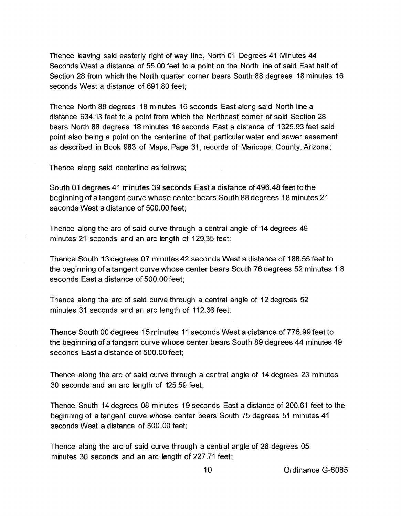Thence leaving said easterly right of way line, North 01 Degrees 41 Minutes 44 Seconds West a distance of 55.00 feet to a point on the North line of said East half of Section 28 from which the North quarter corner bears South 88 degrees 18 minutes 16 seconds West a distance of 691.80 feet;

Thence North 88 degrees 18 minutes 16 seconds East along said North line a distance 634.13 feet to a point from which the Northeast corner of said Section 28 bears North 88 degrees 18 minutes 16 seconds East a distance of 1325.93 feet said point also being a point on the centerline of that particular water and sewer easement as described in Book 983 of Maps, Page 31, records of Maricopa. County, Arizona;

Thence along said centerline as follows;

South 01 degrees 41 minutes 39 seconds East a distance of 496.48 feet to the beginning of a tangent curve whose center bears South 88 degrees 18 minutes 21 seconds West a distance of 500.00 feet;

Thence along the arc of said curve through a central angle of 14 degrees 49 minutes 21 seconds and an arc length of 129,35 feet;

Thence South 13 degrees 07 minutes 42 seconds West a distance of 188.55 feet to the beginning of a tangent curve whose center bears South 76 degrees 52 minutes 1.8 seconds East a distance of 500.00 feet;

Thence along the arc of said curve through a central angle of 12 degrees 52 minutes 31 seconds and an arc length of 112.36 feet;

Thence South 00 degrees 15 minutes 11 seconds West a distance of 776.99 feet to the beginning of a tangent curve whose center bears South 89 degrees 44 minutes 49 seconds East a distance of 500.00 feet;

Thence along the arc of said curve through a central angle of 14 degrees 23 minutes 30 seconds and an arc length of 125.59 feet;

Thence South 14degrees 08 minutes 19 seconds East a distance of 200.61 feet to the beginning of a tangent curve whose center bears South 75 degrees 51 minutes 41 seconds West a distance of 500.00 feet;

Thence along the arc of said curve through a central angle of 26 degrees 05 minutes 36 seconds and an arc length of 227.71 feet;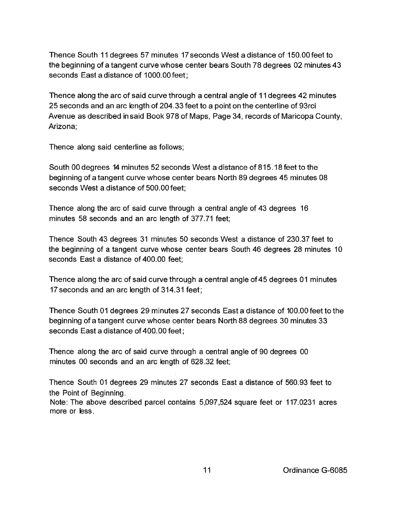Thence South 11 degrees 57 minutes 17 seconds West a distance of 150.00 feet to the beginning of a tangent curve whose center bears South 78 degrees 02 minutes 43 seconds East a distance of 1000.00 feet;

Thence along the arc of said curve through a central angle of 11 degrees 42 minutes 25 seconds and an arc length of 204.33 feet to a point on the centerline of 93rci Avenue as described in said Book 978 of Maps, Page 34, records of Maricopa County, Arizona;

Thence along said centerline as follows;

South 00 degrees 14 minutes 52 seconds West a distance of 815.18feet to the beginning of a tangent curve whose center bears North 89 degrees 45 minutes 08 seconds West a distance of 500.00 feet;

Thence along the arc of said curve through a central angle of 43 degrees 16 minutes 58 seconds and an arc length of 377.71 feet;

Thence South 43 degrees 31 minutes 50 seconds West a distance of 230.37 feet to the beginning of a tangent curve whose center bears South 46 degrees 28 minutes 10 seconds East a distance of 400.00 feet;

Thence along the arc of said curve through a central angle of45 degrees 01 minutes 17 seconds and an arc length of 314.31 feet;

Thence South 01 degrees 29 minutes 27 seconds East a distance of 100.00 feet to the beginning of a tangent curve whose center bears North 88 degrees 30 minutes 33 seconds East a distance of 400.00 feet;

Thence along the arc of said curve through a central angle of 90 degrees 00 minutes 00 seconds and an arc length of 628.32 feet;

Thence South 01 degrees 29 minutes 27 seconds East a distance of 560.93 feet to the Point of Beginning.

Note: The above described parcel contains 5,097,524 square feet or 117.0231 acres more or less.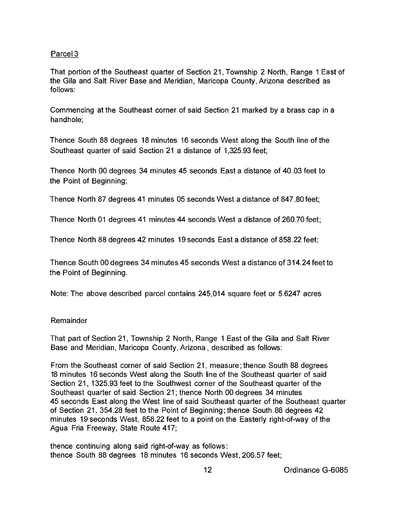## Parcel3

That portion of the Southeast quarter of Section 21, Township 2 North, Range 1 East of the Gila and Salt River Base and Meridian, Maricopa County, Arizona described as follows:

Commencing at the Southeast corner of said Section 21 marked by a brass cap in a handhole;

Thence South 88 degrees 18 minutes 16 seconds West along the South line of the Southeast quarter of said Section 21 a distance of 1,325.93 feet;

Thence North 00 degrees 34 minutes 45 seconds East a distance of 40.03 feet to the Point of Beginning;

Thence North 87 degrees 41 minutes 05 seconds West a distance of 847 .80feet;

Thence North 01 degrees 41 minutes 44 seconds West a distance of 260.70 feet;

Thence North 88 degrees 42 minutes 19 seconds East a distance of 858.22 feet;

Thence South 00 degrees 34 minutes 45 seconds West a distance of 314.24 feet to the Point of Beginning.

Note: The above described parcel contains 245,014 square feet or 5.6247 acres

### Remainder

That part of Section 21, Township 2 North, Range 1 East of the Gila and Salt River Base and Meridian, Maricopa County, Arizona, described as follows:

From the Southeast corner of said Section 21, measure; thence South 88 degrees 18 minutes 16 seconds West along the South line of the Southeast quarter of said Section 21, 1325.93 feet to the Southwest corner of the Southeast quarter of the Southeast quarter of said Section 21; thence North 00 degrees 34 minutes 45 seconds East along the West line of said Southeast quarter of the Southeast quarter of Section 21, 354.28 feet to the Point of Beginning; thence South 88 degrees 42 minutes 19 seconds West, 858.22 feet to a point on the Easterly right-of-way of the Agua Fria Freeway, State Route 417;

thence continuing along said right-of-way as follows: thence South 88 degrees 18 minutes 16 seconds West, 206.57 feet;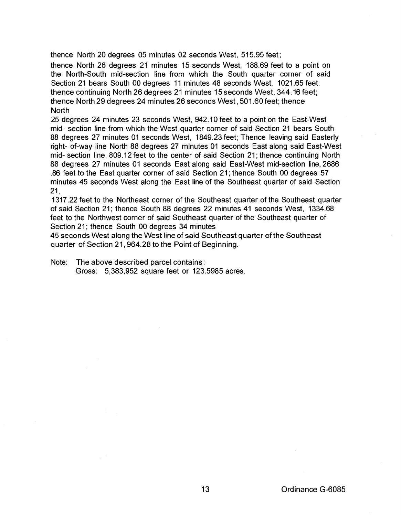thence North 20 degrees 05 minutes 02 seconds West, 515.95 feet;

thence North 26 degrees 21 minutes 15 seconds West, 188.69 feet to a point on the North-South mid-section line from which the South quarter corner of said Section 21 bears South 00 degrees 11 minutes 48 seconds West, 1021.65 feet; thence continuing North 26 degrees 21 minutes 15 seconds West, 344.16 feet; thence North 29 degrees 24 minutes 26 seconds West, 501.60 feet; thence **North** 

25 degrees 24 minutes 23 seconds West, 942.10 feet to a point on the East-West mid- section line from which the West quarter corner of said Section 21 bears South 88 degrees 27 minutes 01 seconds West, 1849.23 feet; Thence leaving said Easterly right- of-way line North 88 degrees 27 minutes 01 seconds East along said East-West mid- section line, 809.12 feet to the center of said Section 21; thence continuing North 88 degrees 27 minutes 01 seconds East along said East-West mid-section line, 2686 .86 feet to the East quarter corner of said Section 21; thence South 00 degrees 57 minutes 45 seconds West along the East line of the Southeast quarter of said Section  $21'$ .

1317.22 feet to the Northeast corner of the Southeast quarter of the Southeast quarter of said Section 21; thence South 88 degrees 22 minutes 41 seconds West, 1334.68 feet to the Northwest corner of said Southeast quarter of the Southeast quarter of Section 21; thence South 00 degrees 34 minutes

45 seconds West along the West line of said Southeast quarter of the Southeast quarter of Section 21,964.28 to the Point of Beginning.

Note: The above described parcel contains: Gross: 5,383,952 square feet or 123.5985 acres.